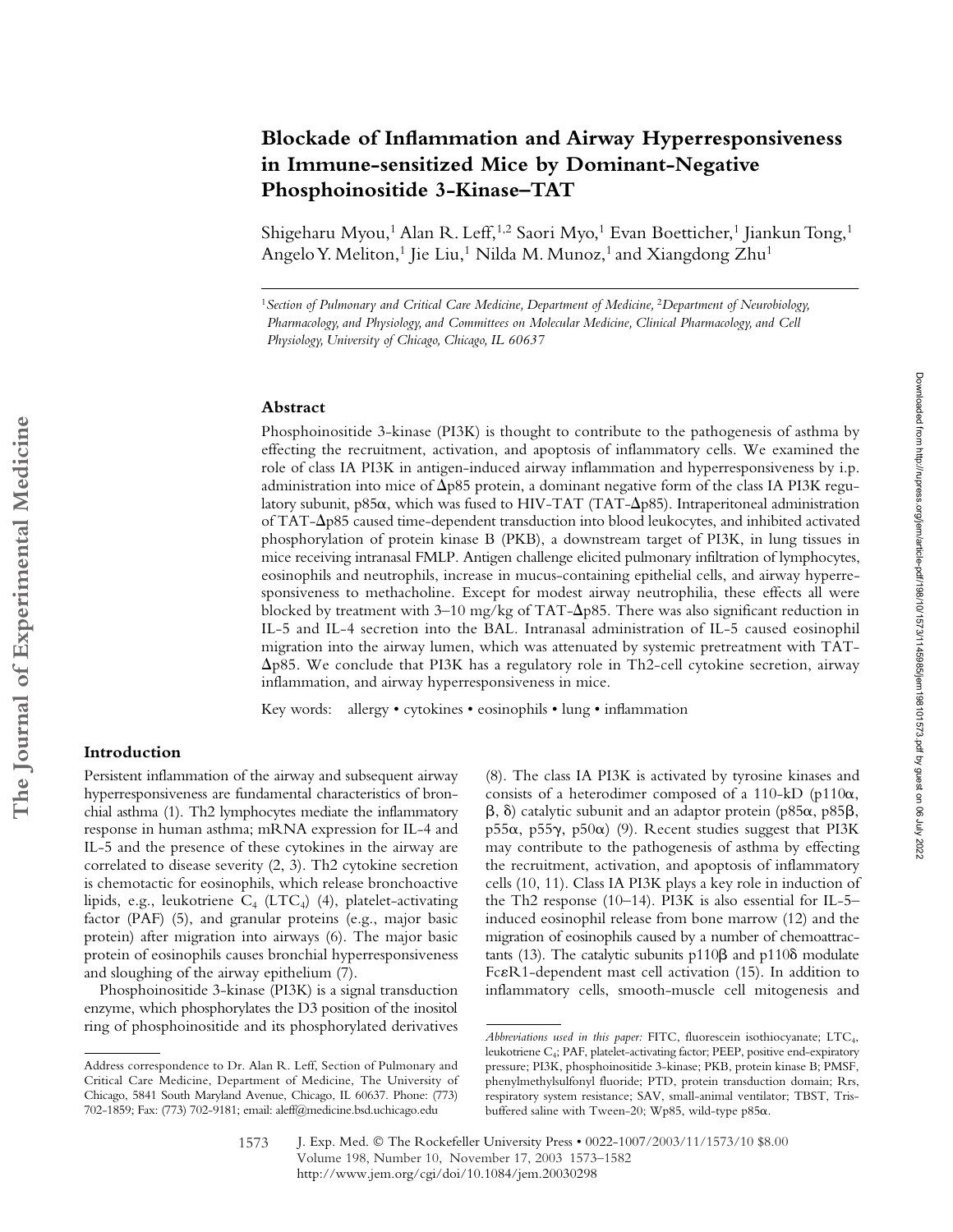# **Blockade of Inflammation and Airway Hyperresponsiveness in Immune-sensitized Mice by Dominant-Negative Phosphoinositide 3-Kinase–TAT**

Shigeharu Myou,<sup>1</sup> Alan R. Leff,<sup>1,2</sup> Saori Myo,<sup>1</sup> Evan Boetticher,<sup>1</sup> Jiankun Tong,<sup>1</sup> Angelo Y. Meliton,<sup>1</sup> Jie Liu,<sup>1</sup> Nilda M. Munoz,<sup>1</sup> and Xiangdong Zhu<sup>1</sup>

#### **Abstract**

Phosphoinositide 3-kinase (PI3K) is thought to contribute to the pathogenesis of asthma by effecting the recruitment, activation, and apoptosis of inflammatory cells. We examined the role of class IA PI3K in antigen-induced airway inflammation and hyperresponsiveness by i.p. administration into mice of  $\Delta$ p85 protein, a dominant negative form of the class IA PI3K regulatory subunit, p85α, which was fused to HIV-TAT (TAT-Δp85). Intraperitoneal administration of TAT- $\Delta$ p85 caused time-dependent transduction into blood leukocytes, and inhibited activated phosphorylation of protein kinase B (PKB), a downstream target of PI3K, in lung tissues in mice receiving intranasal FMLP. Antigen challenge elicited pulmonary infiltration of lymphocytes, eosinophils and neutrophils, increase in mucus-containing epithelial cells, and airway hyperresponsiveness to methacholine. Except for modest airway neutrophilia, these effects all were blocked by treatment with 3–10 mg/kg of TAT- $\Delta p$ 85. There was also significant reduction in IL-5 and IL-4 secretion into the BAL. Intranasal administration of IL-5 caused eosinophil migration into the airway lumen, which was attenuated by systemic pretreatment with TAT- -p85. We conclude that PI3K has a regulatory role in Th2-cell cytokine secretion, airway inflammation, and airway hyperresponsiveness in mice.

Key words: allergy • cytokines • eosinophils • lung • inflammation

## **Introduction**

Persistent inflammation of the airway and subsequent airway hyperresponsiveness are fundamental characteristics of bronchial asthma (1). Th2 lymphocytes mediate the inflammatory response in human asthma; mRNA expression for IL-4 and IL-5 and the presence of these cytokines in the airway are correlated to disease severity (2, 3). Th2 cytokine secretion is chemotactic for eosinophils, which release bronchoactive lipids, e.g., leukotriene  $C_4$  (LTC<sub>4</sub>) (4), platelet-activating factor (PAF) (5), and granular proteins (e.g., major basic protein) after migration into airways (6). The major basic protein of eosinophils causes bronchial hyperresponsiveness and sloughing of the airway epithelium (7).

Phosphoinositide 3-kinase (PI3K) is a signal transduction enzyme, which phosphorylates the D3 position of the inositol ring of phosphoinositide and its phosphorylated derivatives

(8). The class IA PI3K is activated by tyrosine kinases and consists of a heterodimer composed of a 110-kD (p110 $\alpha$ ,  $\beta$ ,  $\delta$ ) catalytic subunit and an adaptor protein (p85 $\alpha$ , p85 $\beta$ , p55 $\alpha$ , p55 $\gamma$ , p50 $\alpha$ ) (9). Recent studies suggest that PI3K may contribute to the pathogenesis of asthma by effecting the recruitment, activation, and apoptosis of inflammatory cells (10, 11). Class IA PI3K plays a key role in induction of the Th2 response (10–14). PI3K is also essential for IL-5– induced eosinophil release from bone marrow (12) and the migration of eosinophils caused by a number of chemoattractants (13). The catalytic subunits  $p110\beta$  and  $p110\delta$  modulate FcR1-dependent mast cell activation (15). In addition to inflammatory cells, smooth-muscle cell mitogenesis and

Downloaded from http://rupress.org/jem/article-pdf1198/10/1573/1145985/jem198101673.pdf by guest on 06 July 2022 Downloaded from http://rupress.org/jem/article-pdf/198/10/1573/1145985/jem198101573.pdf by guest on 06 July 2022

<sup>&</sup>lt;sup>1</sup> Section of Pulmonary and Critical Care Medicine, Department of Medicine, <sup>2</sup>Department of Neurobiology, *Pharmacology, and Physiology, and Committees on Molecular Medicine, Clinical Pharmacology, and Cell Physiology, University of Chicago, Chicago, IL 60637*

Address correspondence to Dr. Alan R. Leff, Section of Pulmonary and Critical Care Medicine, Department of Medicine, The University of Chicago, 5841 South Maryland Avenue, Chicago, IL 60637. Phone: (773) 702-1859; Fax: (773) 702-9181; email: aleff@medicine.bsd.uchicago.edu

*Abbreviations used in this paper:* FITC, fluorescein isothiocyanate; LTC4, leukotriene C<sub>4</sub>; PAF, platelet-activating factor; PEEP, positive end-expiratory pressure; PI3K, phosphoinositide 3-kinase; PKB, protein kinase B; PMSF, phenylmethylsulfonyl fluoride; PTD, protein transduction domain; Rrs, respiratory system resistance; SAV, small-animal ventilator; TBST, Trisbuffered saline with Tween-20; Wp85, wild-type p85 $\alpha$ .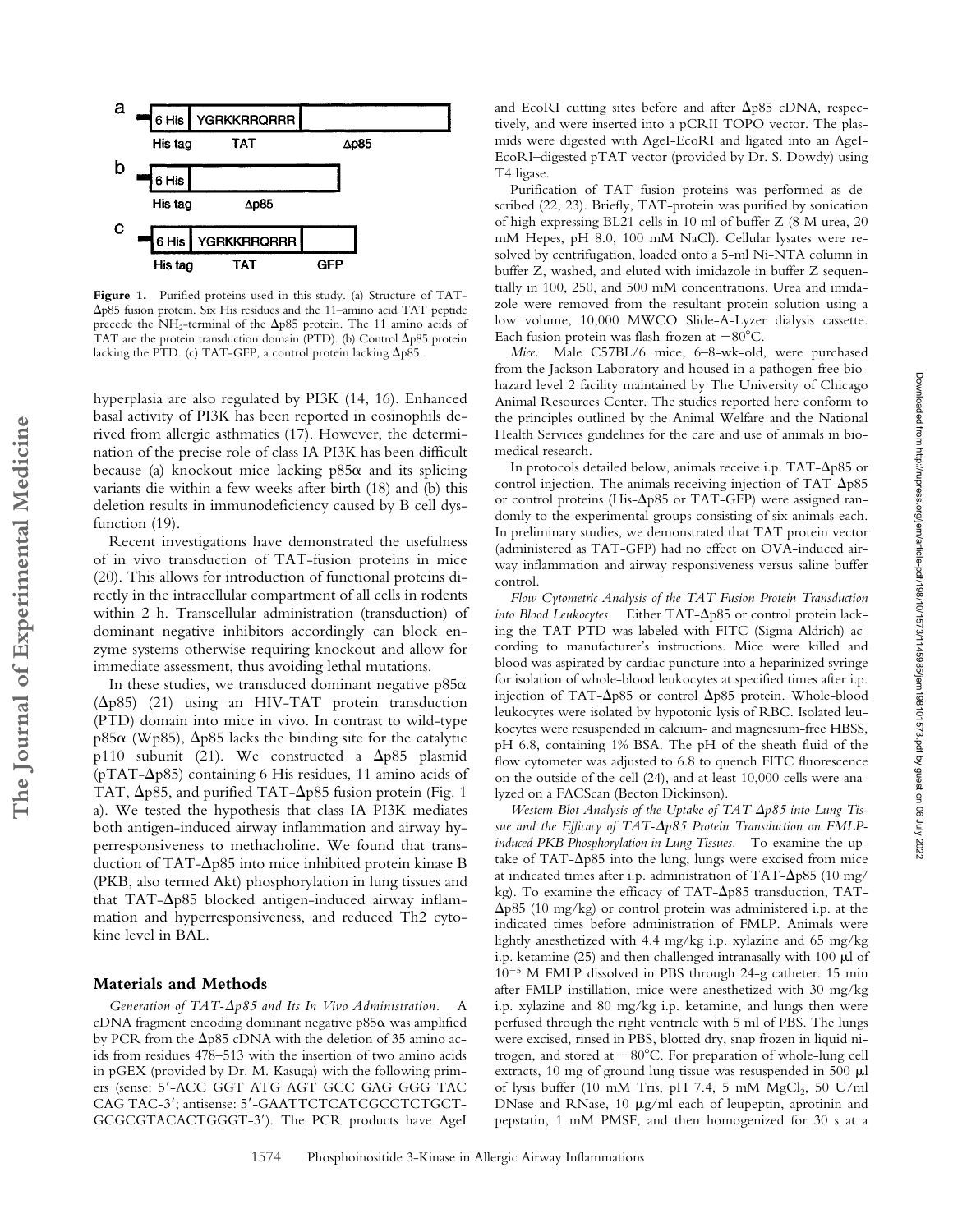

**Figure 1.** Purified proteins used in this study. (a) Structure of TAT- -p85 fusion protein. Six His residues and the 11–amino acid TAT peptide precede the NH<sub>2</sub>-terminal of the  $\Delta p$ 85 protein. The 11 amino acids of TAT are the protein transduction domain (PTD). (b) Control  $\Delta p85$  protein lacking the PTD. (c) TAT-GFP, a control protein lacking  $\Delta p85$ .

hyperplasia are also regulated by PI3K (14, 16). Enhanced basal activity of PI3K has been reported in eosinophils derived from allergic asthmatics (17). However, the determination of the precise role of class IA PI3K has been difficult because (a) knockout mice lacking  $p85\alpha$  and its splicing variants die within a few weeks after birth (18) and (b) this deletion results in immunodeficiency caused by B cell dysfunction (19).

Recent investigations have demonstrated the usefulness of in vivo transduction of TAT-fusion proteins in mice (20). This allows for introduction of functional proteins directly in the intracellular compartment of all cells in rodents within 2 h. Transcellular administration (transduction) of dominant negative inhibitors accordingly can block enzyme systems otherwise requiring knockout and allow for immediate assessment, thus avoiding lethal mutations.

In these studies, we transduced dominant negative  $p85\alpha$ ( $\Delta p85$ ) (21) using an HIV-TAT protein transduction (PTD) domain into mice in vivo. In contrast to wild-type p85 $\alpha$  (Wp85),  $\Delta$ p85 lacks the binding site for the catalytic p110 subunit (21). We constructed a  $\Delta p85$  plasmid (pTAT- $\Delta$ p85) containing 6 His residues, 11 amino acids of TAT,  $\Delta p85$ , and purified TAT- $\Delta p85$  fusion protein (Fig. 1 a). We tested the hypothesis that class IA PI3K mediates both antigen-induced airway inflammation and airway hyperresponsiveness to methacholine. We found that transduction of TAT- $\Delta p$ 85 into mice inhibited protein kinase B (PKB, also termed Akt) phosphorylation in lung tissues and that TAT- $\Delta$ p85 blocked antigen-induced airway inflammation and hyperresponsiveness, and reduced Th2 cytokine level in BAL.

#### **Materials and Methods**

**The Journal of Experimental Medicine**

The Journal of Experimental Medicine

Generation of TAT- $\Delta p85$  and Its In Vivo Administration. A cDNA fragment encoding dominant negative  $p85\alpha$  was amplified by PCR from the  $\Delta p$ 85 cDNA with the deletion of 35 amino acids from residues 478–513 with the insertion of two amino acids in pGEX (provided by Dr. M. Kasuga) with the following primers (sense: 5-ACC GGT ATG AGT GCC GAG GGG TAC CAG TAC-3'; antisense: 5'-GAATTCTCATCGCCTCTGCT-GCGCGTACACTGGGT-3). The PCR products have AgeI

and EcoRI cutting sites before and after  $\Delta p$ 85 cDNA, respectively, and were inserted into a pCRII TOPO vector. The plasmids were digested with AgeI-EcoRI and ligated into an AgeI-EcoRI–digested pTAT vector (provided by Dr. S. Dowdy) using T4 ligase.

Purification of TAT fusion proteins was performed as described (22, 23). Briefly, TAT-protein was purified by sonication of high expressing BL21 cells in 10 ml of buffer Z (8 M urea, 20 mM Hepes, pH 8.0, 100 mM NaCl). Cellular lysates were resolved by centrifugation, loaded onto a 5-ml Ni-NTA column in buffer Z, washed, and eluted with imidazole in buffer Z sequentially in 100, 250, and 500 mM concentrations. Urea and imidazole were removed from the resultant protein solution using a low volume, 10,000 MWCO Slide-A-Lyzer dialysis cassette. Each fusion protein was flash-frozen at  $-80^{\circ}$ C.

*Mice.* Male C57BL/6 mice, 6–8-wk-old, were purchased from the Jackson Laboratory and housed in a pathogen-free biohazard level 2 facility maintained by The University of Chicago Animal Resources Center. The studies reported here conform to the principles outlined by the Animal Welfare and the National Health Services guidelines for the care and use of animals in biomedical research.

In protocols detailed below, animals receive i.p.  $TAT-\Delta p85$  or control injection. The animals receiving injection of  $TAT-\Delta p85$ or control proteins (His- $\Delta p85$  or TAT-GFP) were assigned randomly to the experimental groups consisting of six animals each. In preliminary studies, we demonstrated that TAT protein vector (administered as TAT-GFP) had no effect on OVA-induced airway inflammation and airway responsiveness versus saline buffer control.

*Flow Cytometric Analysis of the TAT Fusion Protein Transduction* into Blood Leukocytes. Either TAT- $\Delta p$ 85 or control protein lacking the TAT PTD was labeled with FITC (Sigma-Aldrich) according to manufacturer's instructions. Mice were killed and blood was aspirated by cardiac puncture into a heparinized syringe for isolation of whole-blood leukocytes at specified times after i.p. injection of TAT- $\Delta$ p85 or control  $\Delta$ p85 protein. Whole-blood leukocytes were isolated by hypotonic lysis of RBC. Isolated leukocytes were resuspended in calcium- and magnesium-free HBSS, pH 6.8, containing 1% BSA. The pH of the sheath fluid of the flow cytometer was adjusted to 6.8 to quench FITC fluorescence on the outside of the cell (24), and at least 10,000 cells were analyzed on a FACScan (Becton Dickinson).

*Western Blot Analysis of the Uptake of TAT-* $\Delta p85$  *into Lung Tis*sue and the Efficacy of TAT- $\Delta p$ 85 Protein Transduction on FMLP*induced PKB Phosphorylation in Lung Tissues.* To examine the uptake of TAT- $\Delta p85$  into the lung, lungs were excised from mice at indicated times after i.p. administration of TAT- $\Delta$ p85 (10 mg/ kg). To examine the efficacy of TAT- $\Delta p$ 85 transduction, TAT- $\Delta p$ 85 (10 mg/kg) or control protein was administered i.p. at the indicated times before administration of FMLP. Animals were lightly anesthetized with 4.4 mg/kg i.p. xylazine and 65 mg/kg i.p. ketamine (25) and then challenged intranasally with 100  $\mu$ l of  $10^{-5}$  M FMLP dissolved in PBS through 24-g catheter. 15 min after FMLP instillation, mice were anesthetized with 30 mg/kg i.p. xylazine and 80 mg/kg i.p. ketamine, and lungs then were perfused through the right ventricle with 5 ml of PBS. The lungs were excised, rinsed in PBS, blotted dry, snap frozen in liquid nitrogen, and stored at  $-80^{\circ}$ C. For preparation of whole-lung cell extracts, 10 mg of ground lung tissue was resuspended in 500  $\mu$ l of lysis buffer (10 mM Tris, pH 7.4, 5 mM  $MgCl<sub>2</sub>$ , 50 U/ml DNase and RNase, 10  $\mu$ g/ml each of leupeptin, aprotinin and pepstatin, 1 mM PMSF, and then homogenized for 30 s at a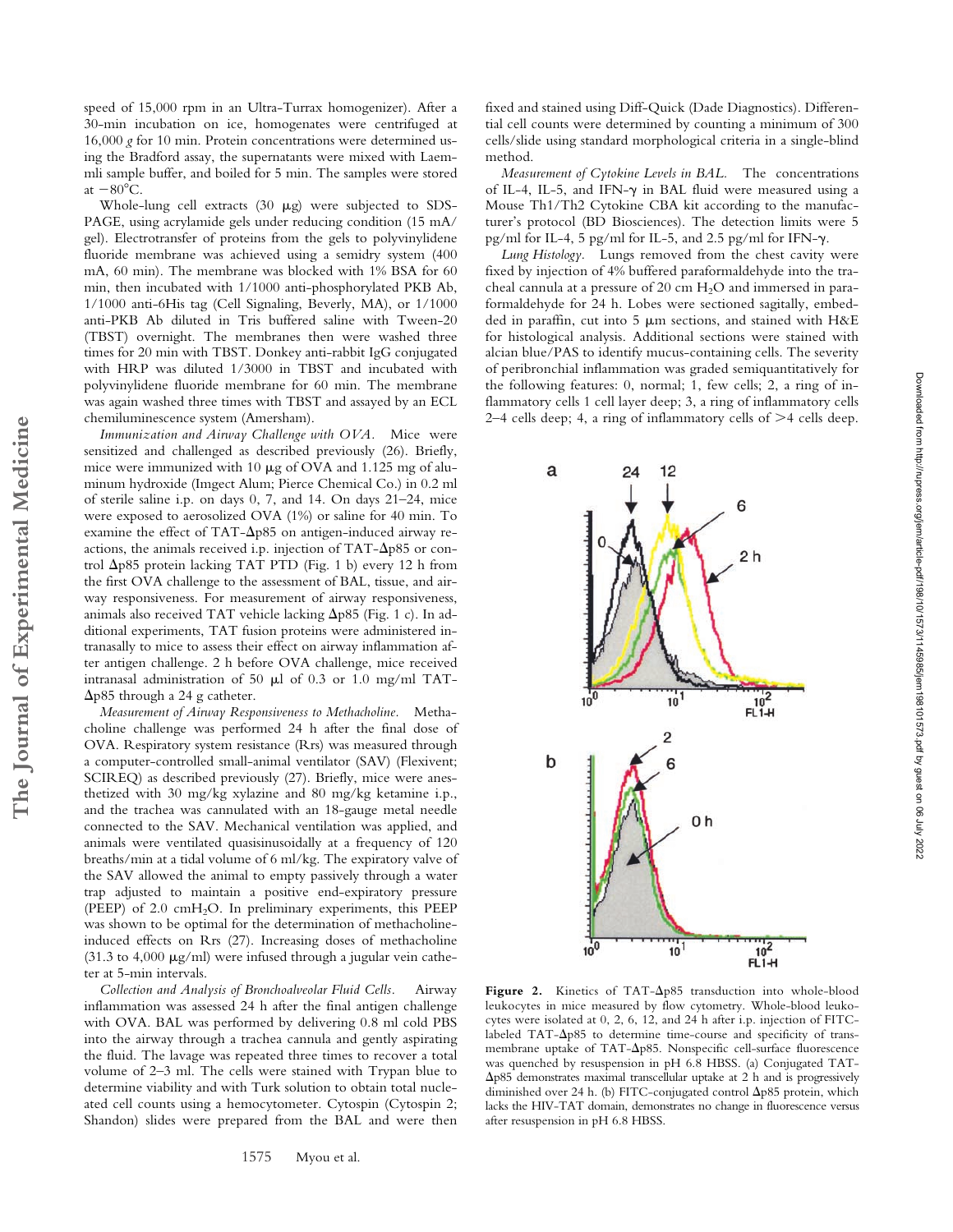speed of 15,000 rpm in an Ultra-Turrax homogenizer). After a 30-min incubation on ice, homogenates were centrifuged at 16,000 *g* for 10 min. Protein concentrations were determined using the Bradford assay, the supernatants were mixed with Laemmli sample buffer, and boiled for 5 min. The samples were stored at  $-80^{\circ}$ C.

Whole-lung cell extracts  $(30 \mu g)$  were subjected to SDS-PAGE, using acrylamide gels under reducing condition (15 mA/ gel). Electrotransfer of proteins from the gels to polyvinylidene fluoride membrane was achieved using a semidry system (400 mA, 60 min). The membrane was blocked with 1% BSA for 60 min, then incubated with 1/1000 anti-phosphorylated PKB Ab, 1/1000 anti-6His tag (Cell Signaling, Beverly, MA), or 1/1000 anti-PKB Ab diluted in Tris buffered saline with Tween-20 (TBST) overnight. The membranes then were washed three times for 20 min with TBST. Donkey anti-rabbit IgG conjugated with HRP was diluted 1/3000 in TBST and incubated with polyvinylidene fluoride membrane for 60 min. The membrane was again washed three times with TBST and assayed by an ECL chemiluminescence system (Amersham).

*Immunization and Airway Challenge with OVA.* Mice were sensitized and challenged as described previously (26). Briefly, mice were immunized with 10  $\mu$ g of OVA and 1.125 mg of aluminum hydroxide (Imgect Alum; Pierce Chemical Co.) in 0.2 ml of sterile saline i.p. on days 0, 7, and 14. On days 21–24, mice were exposed to aerosolized OVA (1%) or saline for 40 min. To examine the effect of TAT- $\Delta p$ 85 on antigen-induced airway reactions, the animals received i.p. injection of  $TAT-\Delta p85$  or control  $\Delta p85$  protein lacking TAT PTD (Fig. 1 b) every 12 h from the first OVA challenge to the assessment of BAL, tissue, and airway responsiveness. For measurement of airway responsiveness, animals also received TAT vehicle lacking  $\Delta p$ 85 (Fig. 1 c). In additional experiments, TAT fusion proteins were administered intranasally to mice to assess their effect on airway inflammation after antigen challenge. 2 h before OVA challenge, mice received intranasal administration of 50  $\mu$ l of 0.3 or 1.0 mg/ml TAT- $\Delta p85$  through a 24 g catheter.

**The Journal of Experimental Medicine**

The Journal of Experimental Medicine

*Measurement of Airway Responsiveness to Methacholine.* Methacholine challenge was performed 24 h after the final dose of OVA. Respiratory system resistance (Rrs) was measured through a computer-controlled small-animal ventilator (SAV) (Flexivent; SCIREQ) as described previously (27). Briefly, mice were anesthetized with 30 mg/kg xylazine and 80 mg/kg ketamine i.p., and the trachea was cannulated with an 18-gauge metal needle connected to the SAV. Mechanical ventilation was applied, and animals were ventilated quasisinusoidally at a frequency of 120 breaths/min at a tidal volume of 6 ml/kg. The expiratory valve of the SAV allowed the animal to empty passively through a water trap adjusted to maintain a positive end-expiratory pressure (PEEP) of 2.0  $\text{cm}H_{2}O$ . In preliminary experiments, this PEEP was shown to be optimal for the determination of methacholineinduced effects on Rrs (27). Increasing doses of methacholine (31.3 to 4,000  $\mu$ g/ml) were infused through a jugular vein catheter at 5-min intervals.

*Collection and Analysis of Bronchoalveolar Fluid Cells.* Airway inflammation was assessed 24 h after the final antigen challenge with OVA. BAL was performed by delivering 0.8 ml cold PBS into the airway through a trachea cannula and gently aspirating the fluid. The lavage was repeated three times to recover a total volume of 2–3 ml. The cells were stained with Trypan blue to determine viability and with Turk solution to obtain total nucleated cell counts using a hemocytometer. Cytospin (Cytospin 2; Shandon) slides were prepared from the BAL and were then

fixed and stained using Diff-Quick (Dade Diagnostics). Differential cell counts were determined by counting a minimum of 300 cells/slide using standard morphological criteria in a single-blind method.

*Measurement of Cytokine Levels in BAL.* The concentrations of IL-4, IL-5, and IFN- $\gamma$  in BAL fluid were measured using a Mouse Th1/Th2 Cytokine CBA kit according to the manufacturer's protocol (BD Biosciences). The detection limits were 5 pg/ml for IL-4, 5 pg/ml for IL-5, and 2.5 pg/ml for IFN- $\gamma$ .

*Lung Histology.* Lungs removed from the chest cavity were fixed by injection of 4% buffered paraformaldehyde into the tracheal cannula at a pressure of 20 cm  $H<sub>2</sub>O$  and immersed in paraformaldehyde for 24 h. Lobes were sectioned sagitally, embedded in paraffin, cut into 5  $\mu$ m sections, and stained with H&E for histological analysis. Additional sections were stained with alcian blue/PAS to identify mucus-containing cells. The severity of peribronchial inflammation was graded semiquantitatively for the following features: 0, normal; 1, few cells; 2, a ring of inflammatory cells 1 cell layer deep; 3, a ring of inflammatory cells  $2-4$  cells deep; 4, a ring of inflammatory cells of  $>4$  cells deep.



Figure 2. Kinetics of TAT- $\Delta p85$  transduction into whole-blood leukocytes in mice measured by flow cytometry. Whole-blood leukocytes were isolated at 0, 2, 6, 12, and 24 h after i.p. injection of FITClabeled  $TAT-\Delta p85$  to determine time-course and specificity of transmembrane uptake of TAT- $\Delta p85$ . Nonspecific cell-surface fluorescence was quenched by resuspension in pH 6.8 HBSS. (a) Conjugated TAT- -p85 demonstrates maximal transcellular uptake at 2 h and is progressively diminished over 24 h. (b) FITC-conjugated control  $\Delta p$ 85 protein, which lacks the HIV-TAT domain, demonstrates no change in fluorescence versus after resuspension in pH 6.8 HBSS.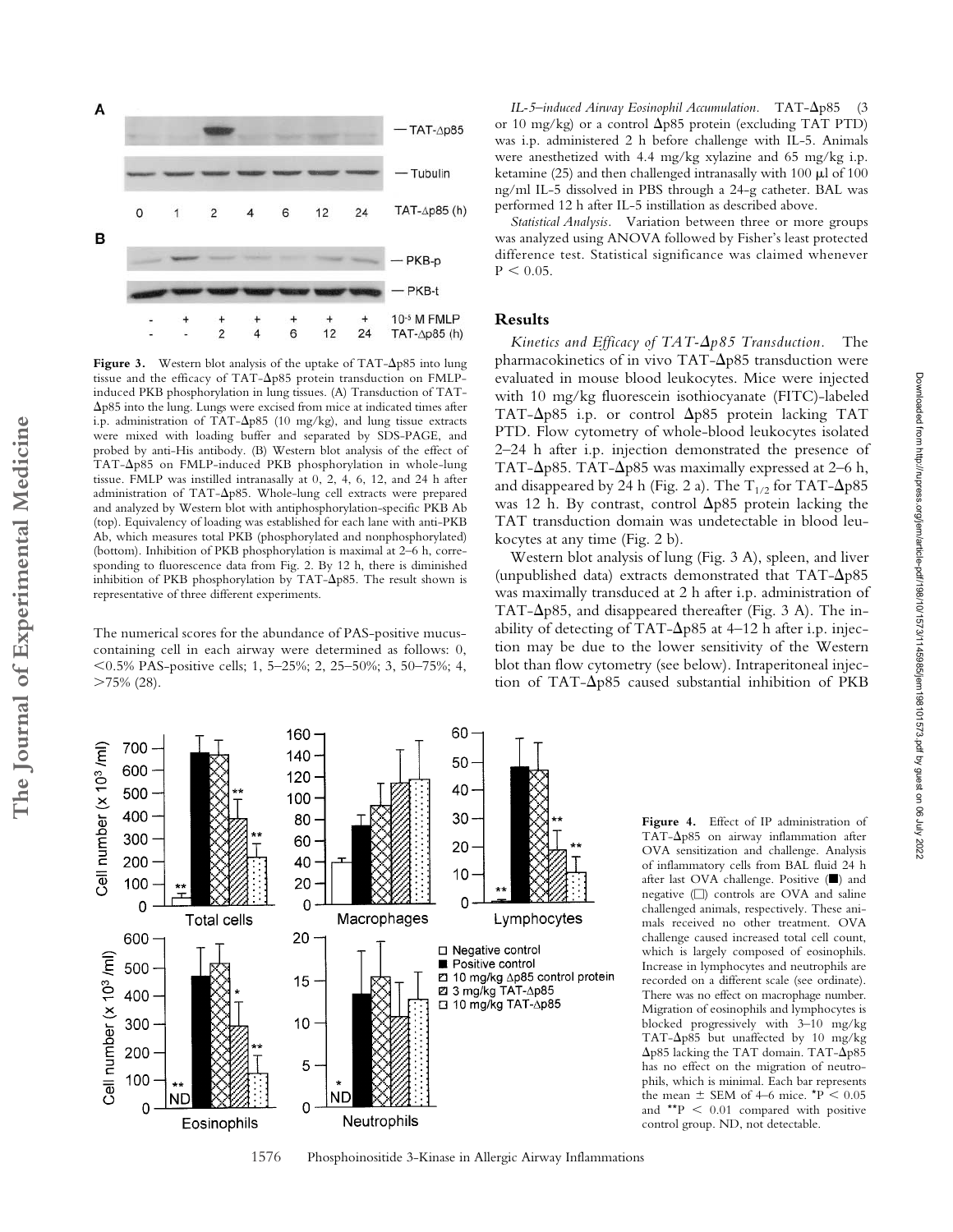

Figure 3. Western blot analysis of the uptake of  $TAT-\Delta p85$  into lung tissue and the efficacy of TAT- $\Delta p85$  protein transduction on FMLPinduced PKB phosphorylation in lung tissues. (A) Transduction of TAT- -p85 into the lung. Lungs were excised from mice at indicated times after i.p. administration of TAT- $\Delta p85$  (10 mg/kg), and lung tissue extracts were mixed with loading buffer and separated by SDS-PAGE, and probed by anti-His antibody. (B) Western blot analysis of the effect of TAT- $\Delta p85$  on FMLP-induced PKB phosphorylation in whole-lung tissue. FMLP was instilled intranasally at 0, 2, 4, 6, 12, and 24 h after administration of TAT- $\Delta p$ 85. Whole-lung cell extracts were prepared and analyzed by Western blot with antiphosphorylation-specific PKB Ab (top). Equivalency of loading was established for each lane with anti-PKB Ab, which measures total PKB (phosphorylated and nonphosphorylated) (bottom). Inhibition of PKB phosphorylation is maximal at 2–6 h, corresponding to fluorescence data from Fig. 2. By 12 h, there is diminished inhibition of PKB phosphorylation by TAT- $\Delta p$ 85. The result shown is representative of three different experiments.

The numerical scores for the abundance of PAS-positive mucuscontaining cell in each airway were determined as follows: 0, 0.5% PAS-positive cells; 1, 5–25%; 2, 25–50%; 3, 50–75%; 4,  $>75\%$  (28).

IL-5-induced Airway Eosinophil Accumulation. TAT- $\Delta p$ 85 (3 or 10 mg/kg) or a control  $\Delta p85$  protein (excluding TAT PTD) was i.p. administered 2 h before challenge with IL-5. Animals were anesthetized with 4.4 mg/kg xylazine and 65 mg/kg i.p. ketamine (25) and then challenged intranasally with 100  $\mu$ l of 100 ng/ml IL-5 dissolved in PBS through a 24-g catheter. BAL was performed 12 h after IL-5 instillation as described above.

*Statistical Analysis.* Variation between three or more groups was analyzed using ANOVA followed by Fisher's least protected difference test. Statistical significance was claimed whenever  $P < 0.05$ .

#### **Results**

Kinetics and *Efficacy of TAT-* $\Delta p85$  *Transduction*. The pharmacokinetics of in vivo TAT- $\Delta$ p85 transduction were evaluated in mouse blood leukocytes. Mice were injected with 10 mg/kg fluorescein isothiocyanate (FITC)-labeled TAT- $\Delta$ p85 i.p. or control  $\Delta$ p85 protein lacking TAT PTD. Flow cytometry of whole-blood leukocytes isolated 2–24 h after i.p. injection demonstrated the presence of TAT- $\Delta$ p85. TAT- $\Delta$ p85 was maximally expressed at 2–6 h, and disappeared by 24 h (Fig. 2 a). The  $T_{1/2}$  for TAT- $\Delta p$ 85 was 12 h. By contrast, control  $\Delta p85$  protein lacking the TAT transduction domain was undetectable in blood leukocytes at any time (Fig. 2 b).

Western blot analysis of lung (Fig. 3 A), spleen, and liver (unpublished data) extracts demonstrated that  $TAT-\Delta p85$ was maximally transduced at 2 h after i.p. administration of TAT- $\Delta p85$ , and disappeared thereafter (Fig. 3 A). The inability of detecting of TAT- $\Delta p$ 85 at 4–12 h after i.p. injection may be due to the lower sensitivity of the Western blot than flow cytometry (see below). Intraperitoneal injection of TAT- $\Delta p$ 85 caused substantial inhibition of PKB

> **Figure 4.** Effect of IP administration of TAT- $\Delta p$ 85 on airway inflammation after OVA sensitization and challenge. Analysis of inflammatory cells from BAL fluid 24 h after last OVA challenge. Positive () and negative  $\Box$  controls are OVA and saline challenged animals, respectively. These animals received no other treatment. OVA challenge caused increased total cell count, which is largely composed of eosinophils. Increase in lymphocytes and neutrophils are recorded on a different scale (see ordinate). There was no effect on macrophage number. Migration of eosinophils and lymphocytes is blocked progressively with 3–10 mg/kg TAT- $\Delta p85$  but unaffected by 10 mg/kg Δp85 lacking the TAT domain. TAT-Δp85 has no effect on the migration of neutrophils, which is minimal. Each bar represents the mean  $\pm$  SEM of 4–6 mice. \*P < 0.05 and  $*$ P < 0.01 compared with positive control group. ND, not detectable.



1576 Phosphoinositide 3-Kinase in Allergic Airway Inflammations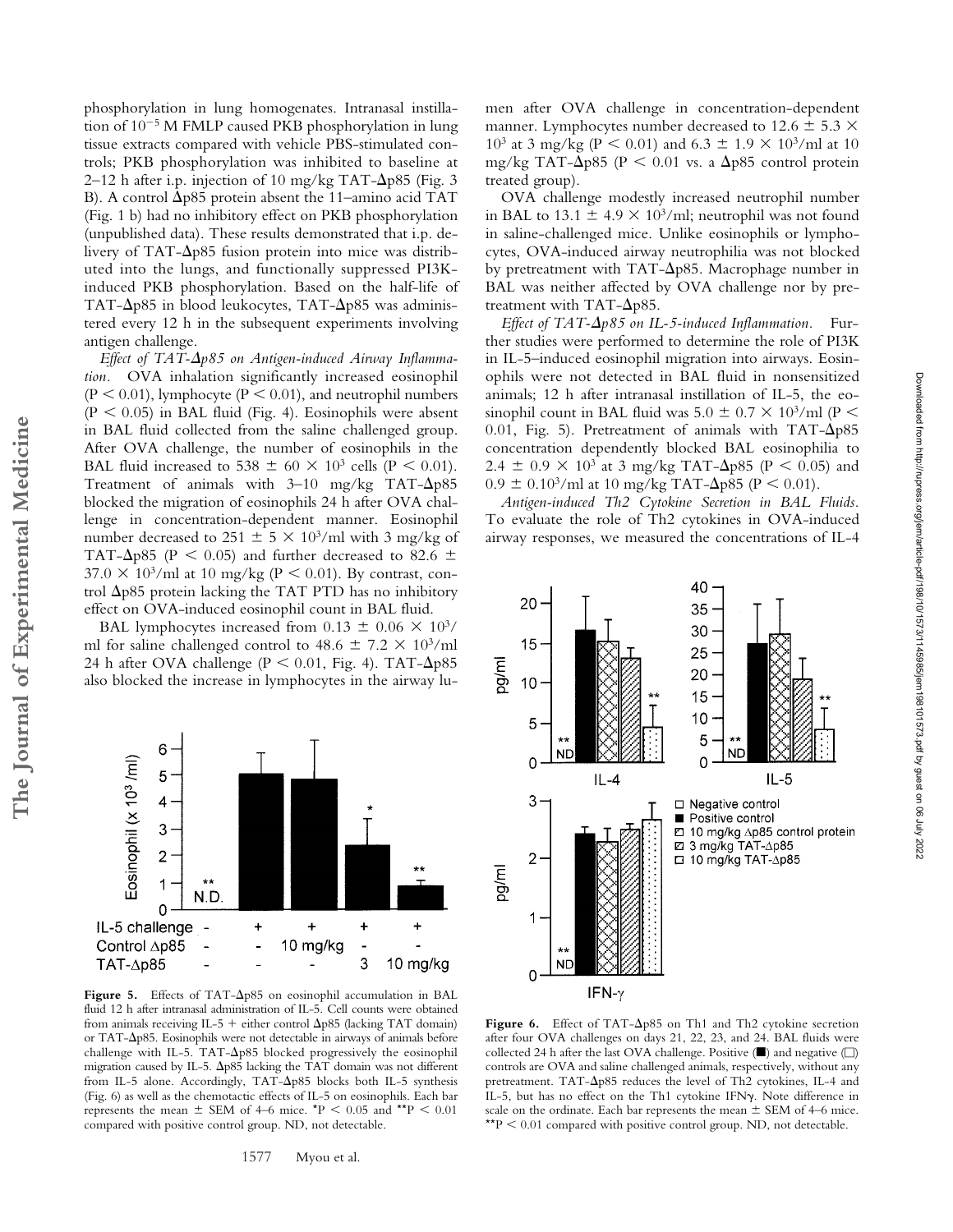tion of  $10^{-5}$  M FMLP caused PKB phosphorylation in lung tissue extracts compared with vehicle PBS-stimulated controls; PKB phosphorylation was inhibited to baseline at 2–12 h after i.p. injection of 10 mg/kg TAT- $\Delta p$ 85 (Fig. 3 B). A control  $\Delta p85$  protein absent the 11–amino acid TAT (Fig. 1 b) had no inhibitory effect on PKB phosphorylation (unpublished data). These results demonstrated that i.p. delivery of TAT- $\Delta p$ 85 fusion protein into mice was distributed into the lungs, and functionally suppressed PI3Kinduced PKB phosphorylation. Based on the half-life of TAT- $\Delta p85$  in blood leukocytes, TAT- $\Delta p85$  was administered every 12 h in the subsequent experiments involving antigen challenge. Effect of TAT- $\Delta p$ 85 on Antigen-induced Airway Inflamma*tion.* OVA inhalation significantly increased eosinophil

phosphorylation in lung homogenates. Intranasal instilla-

 $(P < 0.01)$ , lymphocyte  $(P < 0.01)$ , and neutrophil numbers  $(P < 0.05)$  in BAL fluid (Fig. 4). Eosinophils were absent in BAL fluid collected from the saline challenged group. After OVA challenge, the number of eosinophils in the BAL fluid increased to 538  $\pm$  60  $\times$  10<sup>3</sup> cells (P < 0.01). Treatment of animals with  $3-10$  mg/kg TAT- $\Delta p85$ blocked the migration of eosinophils 24 h after OVA challenge in concentration-dependent manner. Eosinophil number decreased to 251  $\pm$  5  $\times$  10<sup>3</sup>/ml with 3 mg/kg of TAT- $\Delta p85$  (P < 0.05) and further decreased to 82.6  $\pm$  $37.0 \times 10^3$ /ml at 10 mg/kg (P < 0.01). By contrast, control  $\Delta$ p85 protein lacking the TAT PTD has no inhibitory effect on OVA-induced eosinophil count in BAL fluid.

BAL lymphocytes increased from  $0.13 \pm 0.06 \times 10^{3}$ / ml for saline challenged control to  $48.6 \pm 7.2 \times 10^{3}$ /ml 24 h after OVA challenge ( $P < 0.01$ , Fig. 4). TAT- $\Delta p85$ also blocked the increase in lymphocytes in the airway lu-



Figure 5. Effects of TAT- $\Delta p85$  on eosinophil accumulation in BAL fluid 12 h after intranasal administration of IL-5. Cell counts were obtained from animals receiving IL-5 + either control  $\Delta p85$  (lacking TAT domain) or TAT- $\Delta$ p85. Eosinophils were not detectable in airways of animals before challenge with IL-5. TAT- $\Delta p85$  blocked progressively the eosinophil migration caused by IL-5.  $\Delta p85$  lacking the TAT domain was not different from IL-5 alone. Accordingly, TAT- $\Delta p$ 85 blocks both IL-5 synthesis (Fig. 6) as well as the chemotactic effects of IL-5 on eosinophils. Each bar represents the mean  $\pm$  SEM of 4–6 mice. \*P < 0.05 and \*\*P < 0.01 compared with positive control group. ND, not detectable.

1577 Myou et al.

men after OVA challenge in concentration-dependent manner. Lymphocytes number decreased to 12.6  $\pm$  5.3  $\times$  $10^3$  at 3 mg/kg (P < 0.01) and 6.3  $\pm$  1.9 × 10<sup>3</sup>/ml at 10 mg/kg TAT- $\Delta p$ 85 (P  $\leq 0.01$  vs. a  $\Delta p$ 85 control protein treated group).

OVA challenge modestly increased neutrophil number in BAL to 13.1  $\pm$  4.9  $\times$  10<sup>3</sup>/ml; neutrophil was not found in saline-challenged mice. Unlike eosinophils or lymphocytes, OVA-induced airway neutrophilia was not blocked by pretreatment with TAT- $\Delta$ p85. Macrophage number in BAL was neither affected by OVA challenge nor by pretreatment with TAT- $\Delta p85$ .

*Effect of TAT-*-*p85 on IL-5-induced Inflammation.* Further studies were performed to determine the role of PI3K in IL-5–induced eosinophil migration into airways. Eosinophils were not detected in BAL fluid in nonsensitized animals; 12 h after intranasal instillation of IL-5, the eosinophil count in BAL fluid was  $5.0 \pm 0.7 \times 10^3/\text{ml}$  (P < 0.01, Fig. 5). Pretreatment of animals with  $TAT-\Delta p85$ concentration dependently blocked BAL eosinophilia to  $2.4 \pm 0.9 \times 10^3$  at 3 mg/kg TAT- $\Delta p85$  (P < 0.05) and  $0.9 \pm 0.10^3$ /ml at 10 mg/kg TAT- $\Delta p85$  (P < 0.01).

*Antigen-induced Th2 Cytokine Secretion in BAL Fluids.* To evaluate the role of Th2 cytokines in OVA-induced airway responses, we measured the concentrations of IL-4



Figure 6. Effect of TAT- $\Delta p85$  on Th1 and Th2 cytokine secretion after four OVA challenges on days 21, 22, 23, and 24. BAL fluids were collected 24 h after the last OVA challenge. Positive  $(\blacksquare)$  and negative  $(\square)$ controls are OVA and saline challenged animals, respectively, without any pretreatment. TAT- $\Delta p85$  reduces the level of Th2 cytokines, IL-4 and IL-5, but has no effect on the Th1 cytokine IFNy. Note difference in scale on the ordinate. Each bar represents the mean  $\pm$  SEM of 4–6 mice. \* $P < 0.01$  compared with positive control group. ND, not detectable.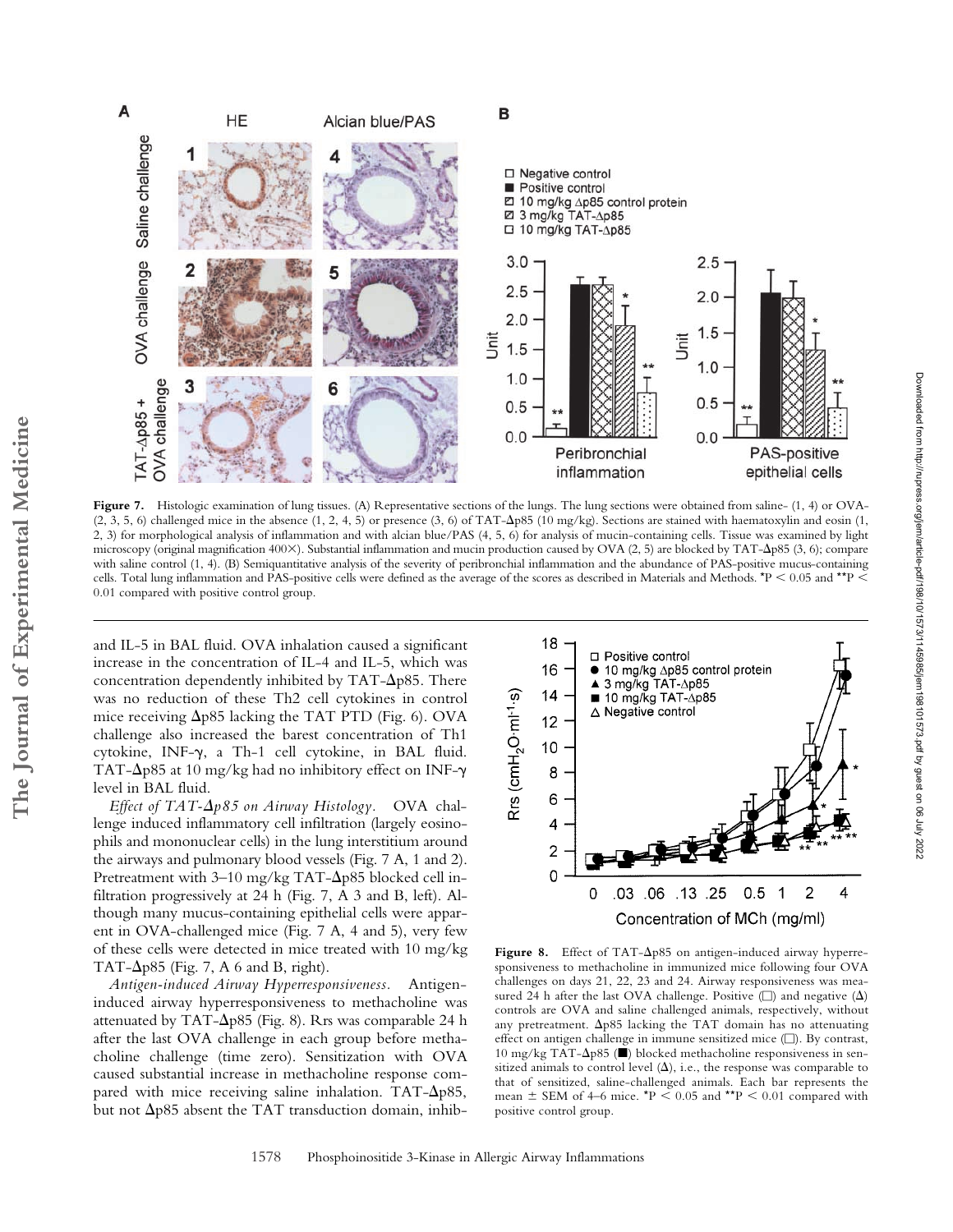



Figure 7. Histologic examination of lung tissues. (A) Representative sections of the lungs. The lung sections were obtained from saline- (1, 4) or OVA- $(2, 3, 5, 6)$  challenged mice in the absence  $(1, 2, 4, 5)$  or presence  $(3, 6)$  of TAT- $\Delta p85$   $(10 \text{ mg/kg})$ . Sections are stained with haematoxylin and eosin  $(1, 2, 3, 5, 6)$ 2, 3) for morphological analysis of inflammation and with alcian blue/PAS (4, 5, 6) for analysis of mucin-containing cells. Tissue was examined by light microscopy (original magnification 400×). Substantial inflammation and mucin production caused by OVA (2, 5) are blocked by TAT- $\Delta p$ 85 (3, 6); compare with saline control (1, 4). (B) Semiquantitative analysis of the severity of peribronchial inflammation and the abundance of PAS-positive mucus-containing cells. Total lung inflammation and PAS-positive cells were defined as the average of the scores as described in Materials and Methods.  $*P < 0.05$  and  $*P <$ 0.01 compared with positive control group.

and IL-5 in BAL fluid. OVA inhalation caused a significant increase in the concentration of IL-4 and IL-5, which was concentration dependently inhibited by  $TAT-\Delta p85$ . There was no reduction of these Th2 cell cytokines in control mice receiving  $\Delta p85$  lacking the TAT PTD (Fig. 6). OVA challenge also increased the barest concentration of Th1 cytokine, INF- $\gamma$ , a Th-1 cell cytokine, in BAL fluid. TAT- $\Delta p85$  at 10 mg/kg had no inhibitory effect on INF- $\gamma$ level in BAL fluid.

*Effect of TAT-*-*p85 on Airway Histology.* OVA challenge induced inflammatory cell infiltration (largely eosinophils and mononuclear cells) in the lung interstitium around the airways and pulmonary blood vessels (Fig. 7 A, 1 and 2). Pretreatment with 3–10 mg/kg TAT- $\Delta p$ 85 blocked cell infiltration progressively at 24 h (Fig. 7, A 3 and B, left). Although many mucus-containing epithelial cells were apparent in OVA-challenged mice (Fig. 7 A, 4 and 5), very few of these cells were detected in mice treated with 10 mg/kg TAT- $\Delta p85$  (Fig. 7, A 6 and B, right).

*Antigen-induced Airway Hyperresponsiveness.* Antigeninduced airway hyperresponsiveness to methacholine was attenuated by TAT- $\Delta p$ 85 (Fig. 8). Rrs was comparable 24 h after the last OVA challenge in each group before methacholine challenge (time zero). Sensitization with OVA caused substantial increase in methacholine response compared with mice receiving saline inhalation. TAT- $\Delta p$ 85, but not  $\Delta$ p85 absent the TAT transduction domain, inhib-



Figure 8. Effect of TAT- $\Delta p85$  on antigen-induced airway hyperresponsiveness to methacholine in immunized mice following four OVA challenges on days 21, 22, 23 and 24. Airway responsiveness was measured 24 h after the last OVA challenge. Positive ( $\square$ ) and negative ( $\Delta$ ) controls are OVA and saline challenged animals, respectively, without any pretreatment.  $\Delta p85$  lacking the TAT domain has no attenuating effect on antigen challenge in immune sensitized mice  $(\square)$ . By contrast, 10 mg/kg TAT-Δp85 (■) blocked methacholine responsiveness in sensitized animals to control level  $(\Delta)$ , i.e., the response was comparable to that of sensitized, saline-challenged animals. Each bar represents the mean  $\pm$  SEM of 4–6 mice. \*P < 0.05 and \*\*P < 0.01 compared with positive control group.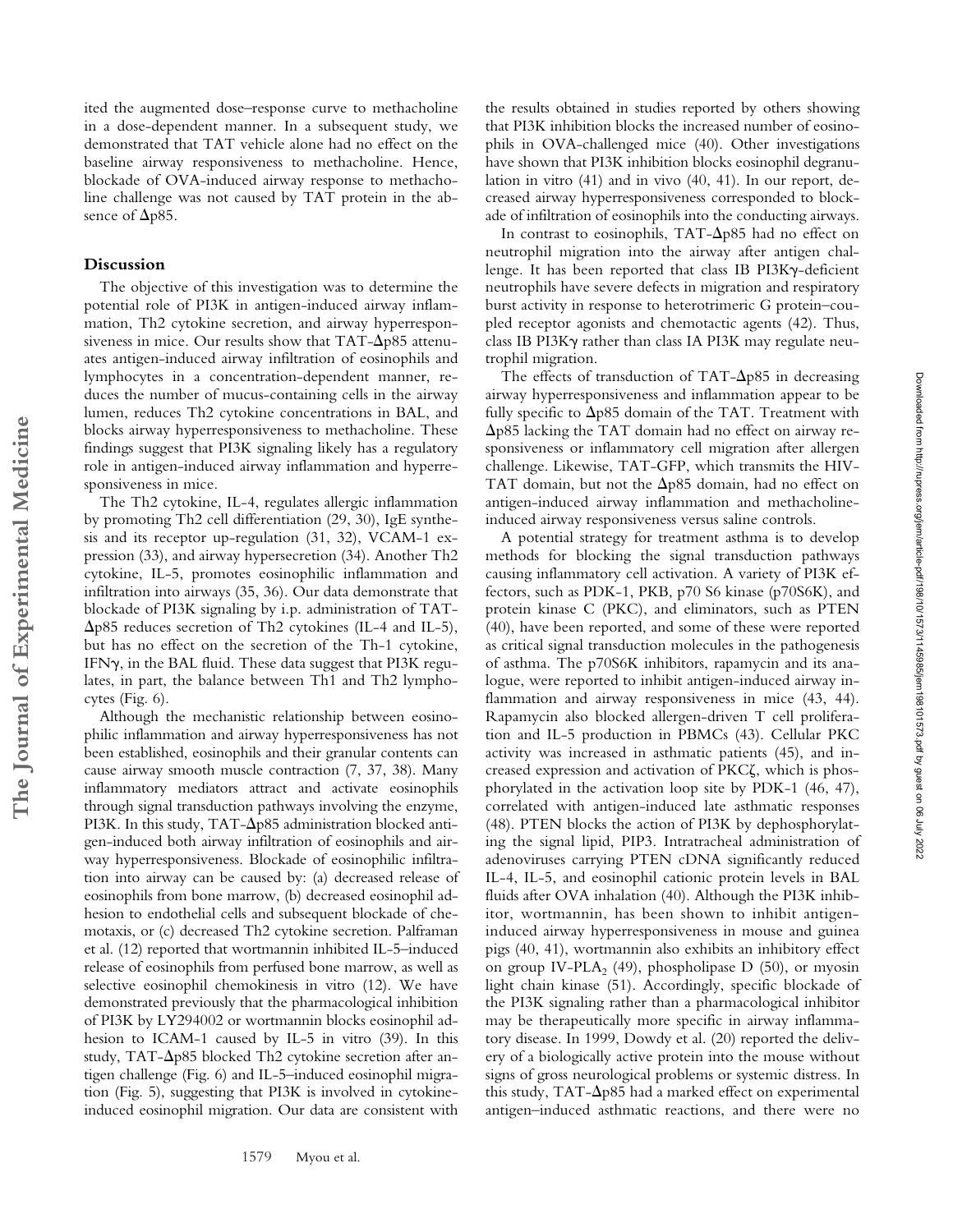ited the augmented dose–response curve to methacholine in a dose-dependent manner. In a subsequent study, we demonstrated that TAT vehicle alone had no effect on the baseline airway responsiveness to methacholine. Hence, blockade of OVA-induced airway response to methacholine challenge was not caused by TAT protein in the absence of  $\Delta p85$ .

## **Discussion**

**The Journal of Experimental Medicine**

The Journal of Experimental Medicine

The objective of this investigation was to determine the potential role of PI3K in antigen-induced airway inflammation, Th2 cytokine secretion, and airway hyperresponsiveness in mice. Our results show that  $TAT-\Delta p85$  attenuates antigen-induced airway infiltration of eosinophils and lymphocytes in a concentration-dependent manner, reduces the number of mucus-containing cells in the airway lumen, reduces Th2 cytokine concentrations in BAL, and blocks airway hyperresponsiveness to methacholine. These findings suggest that PI3K signaling likely has a regulatory role in antigen-induced airway inflammation and hyperresponsiveness in mice.

The Th2 cytokine, IL-4, regulates allergic inflammation by promoting Th2 cell differentiation (29, 30), IgE synthesis and its receptor up-regulation (31, 32), VCAM-1 expression (33), and airway hypersecretion (34). Another Th2 cytokine, IL-5, promotes eosinophilic inflammation and infiltration into airways (35, 36). Our data demonstrate that blockade of PI3K signaling by i.p. administration of TAT- -p85 reduces secretion of Th2 cytokines (IL-4 and IL-5), but has no effect on the secretion of the Th-1 cytokine, IFN $\gamma$ , in the BAL fluid. These data suggest that PI3K regulates, in part, the balance between Th1 and Th2 lymphocytes (Fig. 6).

Although the mechanistic relationship between eosinophilic inflammation and airway hyperresponsiveness has not been established, eosinophils and their granular contents can cause airway smooth muscle contraction (7, 37, 38). Many inflammatory mediators attract and activate eosinophils through signal transduction pathways involving the enzyme, PI3K. In this study, TAT- $\Delta p$ 85 administration blocked antigen-induced both airway infiltration of eosinophils and airway hyperresponsiveness. Blockade of eosinophilic infiltration into airway can be caused by: (a) decreased release of eosinophils from bone marrow, (b) decreased eosinophil adhesion to endothelial cells and subsequent blockade of chemotaxis, or (c) decreased Th2 cytokine secretion. Palframan et al. (12) reported that wortmannin inhibited IL-5–induced release of eosinophils from perfused bone marrow, as well as selective eosinophil chemokinesis in vitro (12). We have demonstrated previously that the pharmacological inhibition of PI3K by LY294002 or wortmannin blocks eosinophil adhesion to ICAM-1 caused by IL-5 in vitro (39). In this study, TAT- $\Delta p$ 85 blocked Th2 cytokine secretion after antigen challenge (Fig. 6) and IL-5–induced eosinophil migration (Fig. 5), suggesting that PI3K is involved in cytokineinduced eosinophil migration. Our data are consistent with

the results obtained in studies reported by others showing that PI3K inhibition blocks the increased number of eosinophils in OVA-challenged mice (40). Other investigations have shown that PI3K inhibition blocks eosinophil degranulation in vitro (41) and in vivo (40, 41). In our report, decreased airway hyperresponsiveness corresponded to blockade of infiltration of eosinophils into the conducting airways.

In contrast to eosinophils,  $TAT-\Delta p85$  had no effect on neutrophil migration into the airway after antigen challenge. It has been reported that class IB PI3K $\gamma$ -deficient neutrophils have severe defects in migration and respiratory burst activity in response to heterotrimeric G protein–coupled receptor agonists and chemotactic agents (42). Thus, class IB PI3K $\gamma$  rather than class IA PI3K may regulate neutrophil migration.

The effects of transduction of TAT- $\Delta p$ 85 in decreasing airway hyperresponsiveness and inflammation appear to be fully specific to  $\Delta p85$  domain of the TAT. Treatment with  $\Delta$ p85 lacking the TAT domain had no effect on airway responsiveness or inflammatory cell migration after allergen challenge. Likewise, TAT-GFP, which transmits the HIV-TAT domain, but not the  $\Delta p85$  domain, had no effect on antigen-induced airway inflammation and methacholineinduced airway responsiveness versus saline controls.

A potential strategy for treatment asthma is to develop methods for blocking the signal transduction pathways causing inflammatory cell activation. A variety of PI3K effectors, such as PDK-1, PKB, p70 S6 kinase (p70S6K), and protein kinase C (PKC), and eliminators, such as PTEN (40), have been reported, and some of these were reported as critical signal transduction molecules in the pathogenesis of asthma. The p70S6K inhibitors, rapamycin and its analogue, were reported to inhibit antigen-induced airway inflammation and airway responsiveness in mice (43, 44). Rapamycin also blocked allergen-driven T cell proliferation and IL-5 production in PBMCs (43). Cellular PKC activity was increased in asthmatic patients (45), and increased expression and activation of PKC, which is phosphorylated in the activation loop site by PDK-1 (46, 47), correlated with antigen-induced late asthmatic responses (48). PTEN blocks the action of PI3K by dephosphorylating the signal lipid, PIP3. Intratracheal administration of adenoviruses carrying PTEN cDNA significantly reduced IL-4, IL-5, and eosinophil cationic protein levels in BAL fluids after OVA inhalation (40). Although the PI3K inhibitor, wortmannin, has been shown to inhibit antigeninduced airway hyperresponsiveness in mouse and guinea pigs (40, 41), wortmannin also exhibits an inhibitory effect on group IV-PLA<sub>2</sub> (49), phospholipase D (50), or myosin light chain kinase (51). Accordingly, specific blockade of the PI3K signaling rather than a pharmacological inhibitor may be therapeutically more specific in airway inflammatory disease. In 1999, Dowdy et al. (20) reported the delivery of a biologically active protein into the mouse without signs of gross neurological problems or systemic distress. In this study,  $TAT-\Delta p85$  had a marked effect on experimental antigen–induced asthmatic reactions, and there were no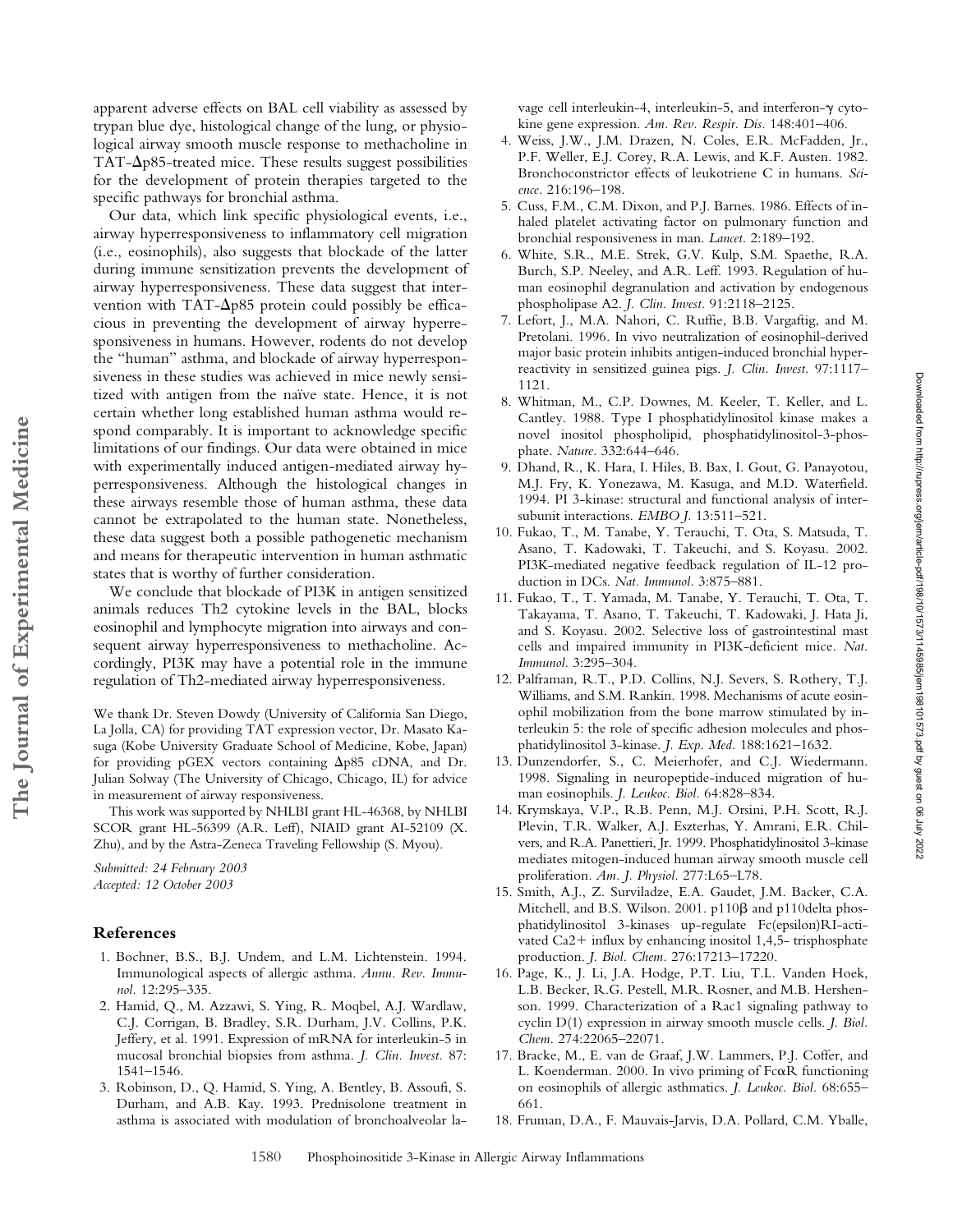apparent adverse effects on BAL cell viability as assessed by trypan blue dye, histological change of the lung, or physiological airway smooth muscle response to methacholine in  $TAT-\Delta p85$ -treated mice. These results suggest possibilities for the development of protein therapies targeted to the specific pathways for bronchial asthma.

Our data, which link specific physiological events, i.e., airway hyperresponsiveness to inflammatory cell migration (i.e., eosinophils), also suggests that blockade of the latter during immune sensitization prevents the development of airway hyperresponsiveness. These data suggest that intervention with TAT- $\Delta p85$  protein could possibly be efficacious in preventing the development of airway hyperresponsiveness in humans. However, rodents do not develop the "human" asthma, and blockade of airway hyperresponsiveness in these studies was achieved in mice newly sensitized with antigen from the naïve state. Hence, it is not certain whether long established human asthma would respond comparably. It is important to acknowledge specific limitations of our findings. Our data were obtained in mice with experimentally induced antigen-mediated airway hyperresponsiveness. Although the histological changes in these airways resemble those of human asthma, these data cannot be extrapolated to the human state. Nonetheless, these data suggest both a possible pathogenetic mechanism and means for therapeutic intervention in human asthmatic states that is worthy of further consideration.

We conclude that blockade of PI3K in antigen sensitized animals reduces Th2 cytokine levels in the BAL, blocks eosinophil and lymphocyte migration into airways and consequent airway hyperresponsiveness to methacholine. Accordingly, PI3K may have a potential role in the immune regulation of Th2-mediated airway hyperresponsiveness.

We thank Dr. Steven Dowdy (University of California San Diego, La Jolla, CA) for providing TAT expression vector, Dr. Masato Kasuga (Kobe University Graduate School of Medicine, Kobe, Japan) for providing pGEX vectors containing  $\Delta p85$  cDNA, and Dr. Julian Solway (The University of Chicago, Chicago, IL) for advice in measurement of airway responsiveness.

This work was supported by NHLBI grant HL-46368, by NHLBI SCOR grant HL-56399 (A.R. Leff), NIAID grant AI-52109 (X. Zhu), and by the Astra-Zeneca Traveling Fellowship (S. Myou).

*Submitted: 24 February 2003 Accepted: 12 October 2003*

## **References**

**The Journal of Experimental Medicine**

The Journal of Experimental Medicine

- 1. Bochner, B.S., B.J. Undem, and L.M. Lichtenstein. 1994. Immunological aspects of allergic asthma. *Annu. Rev. Immunol.* 12:295–335.
- 2. Hamid, Q., M. Azzawi, S. Ying, R. Moqbel, A.J. Wardlaw, C.J. Corrigan, B. Bradley, S.R. Durham, J.V. Collins, P.K. Jeffery, et al. 1991. Expression of mRNA for interleukin-5 in mucosal bronchial biopsies from asthma. *J. Clin. Invest.* 87: 1541–1546.
- 3. Robinson, D., Q. Hamid, S. Ying, A. Bentley, B. Assoufi, S. Durham, and A.B. Kay. 1993. Prednisolone treatment in asthma is associated with modulation of bronchoalveolar la-

vage cell interleukin-4, interleukin-5, and interferon- $\gamma$  cytokine gene expression. *Am. Rev. Respir. Dis.* 148:401–406.

- 4. Weiss, J.W., J.M. Drazen, N. Coles, E.R. McFadden, Jr., P.F. Weller, E.J. Corey, R.A. Lewis, and K.F. Austen. 1982. Bronchoconstrictor effects of leukotriene C in humans. *Science.* 216:196–198.
- 5. Cuss, F.M., C.M. Dixon, and P.J. Barnes. 1986. Effects of inhaled platelet activating factor on pulmonary function and bronchial responsiveness in man. *Lancet.* 2:189–192.
- 6. White, S.R., M.E. Strek, G.V. Kulp, S.M. Spaethe, R.A. Burch, S.P. Neeley, and A.R. Leff. 1993. Regulation of human eosinophil degranulation and activation by endogenous phospholipase A2. *J. Clin. Invest.* 91:2118–2125.
- 7. Lefort, J., M.A. Nahori, C. Ruffie, B.B. Vargaftig, and M. Pretolani. 1996. In vivo neutralization of eosinophil-derived major basic protein inhibits antigen-induced bronchial hyperreactivity in sensitized guinea pigs. *J. Clin. Invest.* 97:1117– 1121.
- 8. Whitman, M., C.P. Downes, M. Keeler, T. Keller, and L. Cantley. 1988. Type I phosphatidylinositol kinase makes a novel inositol phospholipid, phosphatidylinositol-3-phosphate. *Nature.* 332:644–646.
- 9. Dhand, R., K. Hara, I. Hiles, B. Bax, I. Gout, G. Panayotou, M.J. Fry, K. Yonezawa, M. Kasuga, and M.D. Waterfield. 1994. PI 3-kinase: structural and functional analysis of intersubunit interactions. *EMBO J.* 13:511–521.
- 10. Fukao, T., M. Tanabe, Y. Terauchi, T. Ota, S. Matsuda, T. Asano, T. Kadowaki, T. Takeuchi, and S. Koyasu. 2002. PI3K-mediated negative feedback regulation of IL-12 production in DCs. *Nat. Immunol.* 3:875–881.
- 11. Fukao, T., T. Yamada, M. Tanabe, Y. Terauchi, T. Ota, T. Takayama, T. Asano, T. Takeuchi, T. Kadowaki, J. Hata Ji, and S. Koyasu. 2002. Selective loss of gastrointestinal mast cells and impaired immunity in PI3K-deficient mice. *Nat. Immunol.* 3:295–304.
- 12. Palframan, R.T., P.D. Collins, N.J. Severs, S. Rothery, T.J. Williams, and S.M. Rankin. 1998. Mechanisms of acute eosinophil mobilization from the bone marrow stimulated by interleukin 5: the role of specific adhesion molecules and phosphatidylinositol 3-kinase. *J. Exp. Med.* 188:1621–1632.
- 13. Dunzendorfer, S., C. Meierhofer, and C.J. Wiedermann. 1998. Signaling in neuropeptide-induced migration of human eosinophils. *J. Leukoc. Biol.* 64:828–834.
- 14. Krymskaya, V.P., R.B. Penn, M.J. Orsini, P.H. Scott, R.J. Plevin, T.R. Walker, A.J. Eszterhas, Y. Amrani, E.R. Chilvers, and R.A. Panettieri, Jr. 1999. Phosphatidylinositol 3-kinase mediates mitogen-induced human airway smooth muscle cell proliferation. *Am. J. Physiol.* 277:L65–L78.
- 15. Smith, A.J., Z. Surviladze, E.A. Gaudet, J.M. Backer, C.A. Mitchell, and B.S. Wilson. 2001. p110 $\beta$  and p110delta phosphatidylinositol 3-kinases up-regulate Fc(epsilon)RI-activated  $Ca2+$  influx by enhancing inositol 1,4,5- trisphosphate production. *J. Biol. Chem.* 276:17213–17220.
- 16. Page, K., J. Li, J.A. Hodge, P.T. Liu, T.L. Vanden Hoek, L.B. Becker, R.G. Pestell, M.R. Rosner, and M.B. Hershenson. 1999. Characterization of a Rac1 signaling pathway to cyclin D(1) expression in airway smooth muscle cells. *J. Biol. Chem.* 274:22065–22071.
- 17. Bracke, M., E. van de Graaf, J.W. Lammers, P.J. Coffer, and L. Koenderman. 2000. In vivo priming of  $Fc\alpha R$  functioning on eosinophils of allergic asthmatics. *J. Leukoc. Biol.* 68:655– 661.
- 18. Fruman, D.A., F. Mauvais-Jarvis, D.A. Pollard, C.M. Yballe,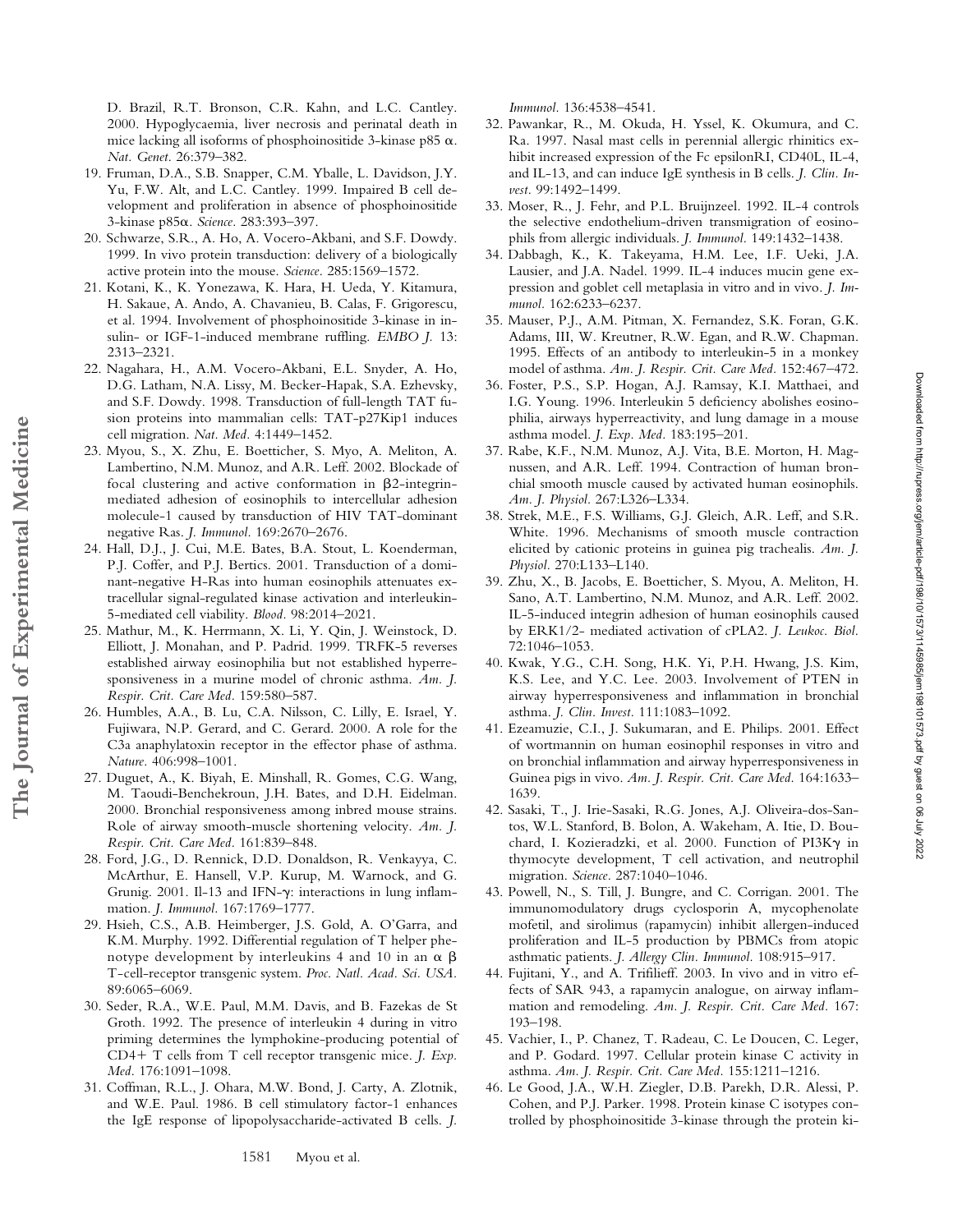D. Brazil, R.T. Bronson, C.R. Kahn, and L.C. Cantley. 2000. Hypoglycaemia, liver necrosis and perinatal death in mice lacking all isoforms of phosphoinositide 3-kinase p85  $\alpha$ . *Nat. Genet.* 26:379–382.

- 19. Fruman, D.A., S.B. Snapper, C.M. Yballe, L. Davidson, J.Y. Yu, F.W. Alt, and L.C. Cantley. 1999. Impaired B cell development and proliferation in absence of phosphoinositide 3-kinase p85. *Science.* 283:393–397.
- 20. Schwarze, S.R., A. Ho, A. Vocero-Akbani, and S.F. Dowdy. 1999. In vivo protein transduction: delivery of a biologically active protein into the mouse. *Science.* 285:1569–1572.
- 21. Kotani, K., K. Yonezawa, K. Hara, H. Ueda, Y. Kitamura, H. Sakaue, A. Ando, A. Chavanieu, B. Calas, F. Grigorescu, et al. 1994. Involvement of phosphoinositide 3-kinase in insulin- or IGF-1-induced membrane ruffling. *EMBO J.* 13: 2313–2321.
- 22. Nagahara, H., A.M. Vocero-Akbani, E.L. Snyder, A. Ho, D.G. Latham, N.A. Lissy, M. Becker-Hapak, S.A. Ezhevsky, and S.F. Dowdy. 1998. Transduction of full-length TAT fusion proteins into mammalian cells: TAT-p27Kip1 induces cell migration. *Nat. Med.* 4:1449–1452.
- 23. Myou, S., X. Zhu, E. Boetticher, S. Myo, A. Meliton, A. Lambertino, N.M. Munoz, and A.R. Leff. 2002. Blockade of focal clustering and active conformation in  $\beta$ 2-integrinmediated adhesion of eosinophils to intercellular adhesion molecule-1 caused by transduction of HIV TAT-dominant negative Ras. *J. Immunol.* 169:2670–2676.
- 24. Hall, D.J., J. Cui, M.E. Bates, B.A. Stout, L. Koenderman, P.J. Coffer, and P.J. Bertics. 2001. Transduction of a dominant-negative H-Ras into human eosinophils attenuates extracellular signal-regulated kinase activation and interleukin-5-mediated cell viability. *Blood.* 98:2014–2021.

**The Journal of Experimental Medicine**

The Journal of Experimental Medicine

- 25. Mathur, M., K. Herrmann, X. Li, Y. Qin, J. Weinstock, D. Elliott, J. Monahan, and P. Padrid. 1999. TRFK-5 reverses established airway eosinophilia but not established hyperresponsiveness in a murine model of chronic asthma. *Am. J. Respir. Crit. Care Med.* 159:580–587.
- 26. Humbles, A.A., B. Lu, C.A. Nilsson, C. Lilly, E. Israel, Y. Fujiwara, N.P. Gerard, and C. Gerard. 2000. A role for the C3a anaphylatoxin receptor in the effector phase of asthma. *Nature.* 406:998–1001.
- 27. Duguet, A., K. Biyah, E. Minshall, R. Gomes, C.G. Wang, M. Taoudi-Benchekroun, J.H. Bates, and D.H. Eidelman. 2000. Bronchial responsiveness among inbred mouse strains. Role of airway smooth-muscle shortening velocity. *Am. J. Respir. Crit. Care Med.* 161:839–848.
- 28. Ford, J.G., D. Rennick, D.D. Donaldson, R. Venkayya, C. McArthur, E. Hansell, V.P. Kurup, M. Warnock, and G. Grunig. 2001. Il-13 and IFN- $\gamma$ : interactions in lung inflammation. *J. Immunol.* 167:1769–1777.
- 29. Hsieh, C.S., A.B. Heimberger, J.S. Gold, A. O'Garra, and K.M. Murphy. 1992. Differential regulation of T helper phenotype development by interleukins 4 and 10 in an  $\alpha$   $\beta$ T-cell-receptor transgenic system. *Proc. Natl. Acad. Sci. USA.* 89:6065–6069.
- 30. Seder, R.A., W.E. Paul, M.M. Davis, and B. Fazekas de St Groth. 1992. The presence of interleukin 4 during in vitro priming determines the lymphokine-producing potential of CD4+ T cells from T cell receptor transgenic mice. *J. Exp. Med.* 176:1091–1098.
- 31. Coffman, R.L., J. Ohara, M.W. Bond, J. Carty, A. Zlotnik, and W.E. Paul. 1986. B cell stimulatory factor-1 enhances the IgE response of lipopolysaccharide-activated B cells. *J.*

*Immunol.* 136:4538–4541.

- 32. Pawankar, R., M. Okuda, H. Yssel, K. Okumura, and C. Ra. 1997. Nasal mast cells in perennial allergic rhinitics exhibit increased expression of the Fc epsilonRI, CD40L, IL-4, and IL-13, and can induce IgE synthesis in B cells. *J. Clin. Invest.* 99:1492–1499.
- 33. Moser, R., J. Fehr, and P.L. Bruijnzeel. 1992. IL-4 controls the selective endothelium-driven transmigration of eosinophils from allergic individuals. *J. Immunol.* 149:1432–1438.
- 34. Dabbagh, K., K. Takeyama, H.M. Lee, I.F. Ueki, J.A. Lausier, and J.A. Nadel. 1999. IL-4 induces mucin gene expression and goblet cell metaplasia in vitro and in vivo. *J. Immunol.* 162:6233–6237.
- 35. Mauser, P.J., A.M. Pitman, X. Fernandez, S.K. Foran, G.K. Adams, III, W. Kreutner, R.W. Egan, and R.W. Chapman. 1995. Effects of an antibody to interleukin-5 in a monkey model of asthma. *Am. J. Respir. Crit. Care Med.* 152:467–472.
- 36. Foster, P.S., S.P. Hogan, A.J. Ramsay, K.I. Matthaei, and I.G. Young. 1996. Interleukin 5 deficiency abolishes eosinophilia, airways hyperreactivity, and lung damage in a mouse asthma model. *J. Exp. Med.* 183:195–201.
- 37. Rabe, K.F., N.M. Munoz, A.J. Vita, B.E. Morton, H. Magnussen, and A.R. Leff. 1994. Contraction of human bronchial smooth muscle caused by activated human eosinophils. *Am. J. Physiol.* 267:L326–L334.
- 38. Strek, M.E., F.S. Williams, G.J. Gleich, A.R. Leff, and S.R. White. 1996. Mechanisms of smooth muscle contraction elicited by cationic proteins in guinea pig trachealis. *Am. J. Physiol.* 270:L133–L140.
- 39. Zhu, X., B. Jacobs, E. Boetticher, S. Myou, A. Meliton, H. Sano, A.T. Lambertino, N.M. Munoz, and A.R. Leff. 2002. IL-5-induced integrin adhesion of human eosinophils caused by ERK1/2- mediated activation of cPLA2. *J. Leukoc. Biol.* 72:1046–1053.
- 40. Kwak, Y.G., C.H. Song, H.K. Yi, P.H. Hwang, J.S. Kim, K.S. Lee, and Y.C. Lee. 2003. Involvement of PTEN in airway hyperresponsiveness and inflammation in bronchial asthma. *J. Clin. Invest.* 111:1083–1092.
- 41. Ezeamuzie, C.I., J. Sukumaran, and E. Philips. 2001. Effect of wortmannin on human eosinophil responses in vitro and on bronchial inflammation and airway hyperresponsiveness in Guinea pigs in vivo. *Am. J. Respir. Crit. Care Med.* 164:1633– 1639.
- 42. Sasaki, T., J. Irie-Sasaki, R.G. Jones, A.J. Oliveira-dos-Santos, W.L. Stanford, B. Bolon, A. Wakeham, A. Itie, D. Bouchard, I. Kozieradzki, et al. 2000. Function of PI3K $\gamma$  in thymocyte development, T cell activation, and neutrophil migration. *Science.* 287:1040–1046.
- 43. Powell, N., S. Till, J. Bungre, and C. Corrigan. 2001. The immunomodulatory drugs cyclosporin A, mycophenolate mofetil, and sirolimus (rapamycin) inhibit allergen-induced proliferation and IL-5 production by PBMCs from atopic asthmatic patients. *J. Allergy Clin. Immunol.* 108:915–917.
- 44. Fujitani, Y., and A. Trifilieff. 2003. In vivo and in vitro effects of SAR 943, a rapamycin analogue, on airway inflammation and remodeling. *Am. J. Respir. Crit. Care Med.* 167: 193–198.
- 45. Vachier, I., P. Chanez, T. Radeau, C. Le Doucen, C. Leger, and P. Godard. 1997. Cellular protein kinase C activity in asthma. *Am. J. Respir. Crit. Care Med.* 155:1211–1216.
- 46. Le Good, J.A., W.H. Ziegler, D.B. Parekh, D.R. Alessi, P. Cohen, and P.J. Parker. 1998. Protein kinase C isotypes controlled by phosphoinositide 3-kinase through the protein ki-